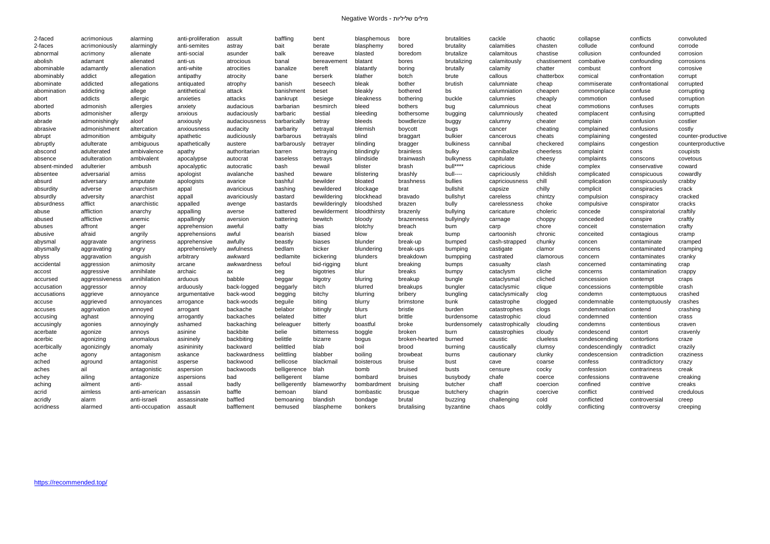| 2-faced       | acrimonious    | alarming        | anti-proliferation | assult        | baffling      | bent          | blasphemous  | bore           | brutalities  | cackle           | chaotic      | collapse        | conflicts       | convoluted         |
|---------------|----------------|-----------------|--------------------|---------------|---------------|---------------|--------------|----------------|--------------|------------------|--------------|-----------------|-----------------|--------------------|
| 2-faces       | acrimoniously  | alarmingly      | anti-semites       | astray        | bait          | berate        | blasphemy    | bored          | brutality    | calamities       | chasten      | collude         | confound        | corrode            |
| abnormal      | acrimony       | alienate        | anti-social        | asunder       | balk          | bereave       | blasted      | boredom        | brutalize    | calamitous       | chastise     | collusion       | confounded      | corrosion          |
| abolish       | adamant        | alienated       | anti-us            | atrocious     | banal         | bereavement   | blatant      | bores          | brutalizing  | calamitously     | chastisement | combative       | confounding     | corrosions         |
| abominable    | adamantly      | alienation      | anti-white         | atrocities    | banalize      | bereft        | blatantly    | boring         | brutally     | calamity         | chatter      | combust         | confront        | corrosive          |
| abominably    | addict         | allegation      | antipathy          | atrocity      | bane          | berserk       | blather      | botch          | brute        | callous          | chatterbox   | comical         | confrontation   | corrupt            |
| abominate     | addicted       | allegations     | antiquated         | atrophy       | banish        | beseech       | bleak        | bother         | brutish      | calumniate       | cheap        | commiserate     | confrontational | corrupted          |
| abomination   | addicting      | allege          | antithetical       | attack        | banishmen     | beset         | bleakly      | bothered       | bs           | calumniation     | cheapen      | commonplace     | confuse         | corrupting         |
| abort         | addicts        | allergic        | anxieties          | attacks       | bankrupt      | besiege       | bleakness    | bothering      | buckle       | calumnies        | cheaply      | commotion       | confused        | corruption         |
| aborted       | admonish       | allergies       | anxiety            | audacious     | barbarian     | besmirch      | bleed        | bothers        | bug          | calumnious       | cheat        | commotions      | confuses        | corrupts           |
| aborts        | admonisher     | allergy         | anxious            | audaciously   | barbaric      | bestial       | bleeding     | bothersome     | bugging      | calumniously     | cheated      | complacent      | confusing       | corruptted         |
| abrade        | admonishingly  | aloof           | anxiously          | audaciousness | barbarically  | betray        | bleeds       | bowdlerize     | buggy        | calumny          | cheater      | complain        | confusion       | costlier           |
| abrasive      | admonishment   | altercation     | anxiousness        | audacity      | barbarity     | betrayal      | blemish      | boycott        | bugs         | cancer           | cheating     | complained      | confusions      | costly             |
| abrupt        | admonition     | ambiguity       | apathetic          | audiciously   | barbarous     | betrayals     | blind        | braggart       | bulkier      | cancerous        | cheats       | complaining     | congested       | counter-productive |
| abruptly      | adulterate     | ambiguous       | apathetically      | austere       | barbarously   | betrayer      | blinding     | bragger        | bulkiness    | cannibal         | checkered    | complains       | congestion      | counterproductive  |
| abscond       | adulterated    | ambivalence     | apathy             | authoritarian | barren        | betraying     | blindingly   | brainless      | bulky        | cannibalize      | cheerless    | complaint       | cons            | coupists           |
| absence       | adulteration   | ambivalent      | apocalypse         | autocrat      | baseless      | betrays       | blindside    | brainwash      | bulkyness    | capitulate       | cheesy       | complaints      | conscons        | covetous           |
| absent-minded | adulterier     | ambush          | apocalyptic        | autocratic    | bash          | bewail        | blister      | brash          | bull****     | capricious       | chide        | complex         | conservative    | coward             |
| absentee      | adversarial    | amiss           | apologist          | avalanche     | bashed        | beware        | blistering   | brashly        | bull----     | capriciously     | childish     | complicated     | conspicuous     | cowardly           |
| absurd        | adversary      | amputate        | apologists         | avarice       | bashful       | bewilder      | bloated      | brashness      | bullies      | capriciousness   | chill        | complication    | conspicuously   | crabby             |
| absurdity     | adverse        | anarchism       | appal              | avaricious    | bashing       | bewildered    | blockage     | brat           | bullshit     | capsize          | chilly       | complicit       | conspiracies    | crack              |
| absurdly      | adversity      | anarchist       | appall             | avariciously  | bastard       | bewildering   | blockhead    | bravado        | bullshyt     | careless         | chintzy      | compulsion      | conspiracy      | cracked            |
| absurdness    | afflict        | anarchistic     | appalled           | avenge        | bastards      | bewilderingly | bloodshed    | brazen         | bully        | carelessness     | choke        | compulsive      | conspirator     | cracks             |
| abuse         | affliction     | anarchy         | appalling          | averse        | battered      | bewilderment  | bloodthirsty | brazenly       | bullying     | caricature       | choleric     | concede         | conspiratorial  | craftily           |
| abused        | afflictive     | anemic          | appallingly        | aversion      | battering     | bewitch       | bloody       | brazenness     | bullyingly   | carnage          | choppy       | conceded        | conspire        | craftly            |
| abuses        | affront        | anger           | apprehension       | aweful        | batty         | bias          | blotchy      | breach         | bum          | carp             | chore        | conceit         | consternation   | crafty             |
| abusive       | afraid         | angrily         | apprehensions      | awful         | bearish       | biased        | blow         | break          | bump         | cartoonish       | chronic      | conceited       | contagious      | cramp              |
| abysmal       | aggravate      | angriness       | apprehensive       | awfully       | beastly       | biases        | blunder      | break-up       | bumped       | cash-strapped    | chunky       | concen          | contaminate     | cramped            |
| abysmally     | aggravating    | angry           | apprehensively     | awfulness     | bedlam        | bicker        | blundering   | break-ups      | bumping      | castigate        | clamor       | concens         | contaminated    | cramping           |
| abyss         | aggravation    | anguish         | arbitrary          | awkward       | bedlamite     | bickering     | blunders     | breakdown      | bumpping     | castrated        | clamorous    | concern         | contaminates    | cranky             |
| accidental    | aggression     | animosity       | arcane             | awkwardness   | befoul        | bid-rigging   | blunt        | breaking       | bumps        | casualty         | clash        | concerned       | contaminating   | crap               |
| accost        | aggressive     | annihilate      | archaic            | ax            | beg           | bigotries     | blur         | breaks         | bumpy        | cataclysm        | cliche       | concerns        | contamination   | crappy             |
| accursed      | aggressiveness | annihilation    | arduous            | babble        | beggar        | bigotry       | bluring      | breakup        | bungle       | cataclysmal      | cliched      | concession      | contempt        | craps              |
| accusation    | aggressor      | annoy           | arduously          | back-logged   | beggarly      | bitch         | blurred      | breakups       | bungler      | cataclysmic      | clique       | concessions     | contemptible    | crash              |
| accusations   | aggrieve       | annoyance       | argumentative      | back-wood     | begging       | bitchy        | blurring     | bribery        | bungling     | cataclysmically  | clog         | condemn         | contemptuous    | crashed            |
| accuse        | aggrieved      | annoyances      | arrogance          | back-woods    | beguile       | biting        | blurry       | brimstone      | bunk         | catastrophe      | clogged      | condemnable     | contemptuously  | crashes            |
| accuses       | aggrivation    | annoyed         | arrogant           | backache      | belabor       | bitingly      | blurs        | bristle        | burden       | catastrophes     | clogs        | condemnation    | contend         | crashing           |
| accusing      | aghast         | annoying        | arrogantly         | backaches     | belated       | bitter        | blurt        | brittle        | burdensome   | catastrophic     | cloud        | condemned       | contention      | crass              |
| accusingly    | agonies        | annoyingly      | ashamed            | backaching    | beleaguer     | bitterly      | boastful     | broke          | burdensomely | catastrophically | clouding     | condemns        | contentious     | craven             |
| acerbate      | agonize        | annoys          | asinine            | backbite      | belie         | bitterness    | boggle       | broken         | burn         | catastrophies    | cloudy       | condescend      | contort         | cravenly           |
| acerbic       | agonizing      | anomalous       | asininely          | backbiting    | belittle      | bizarre       | bogus        | broken-hearted | burned       | caustic          | clueless     | condescending   | contortions     | craze              |
| acerbically   | agonizingly    | anomaly         | asinininity        | backward      | belittled     | blab          | boil         | brood          | burning      | caustically      | clumsy       | condescendingly | contradict      | crazily            |
| ache          | agony          | antagonism      | askance            | backwardness  | belittling    | blabber       | boiling      | browbeat       | burns        | cautionary       | clunky       | condescension   | contradiction   | craziness          |
| ached         | aground        | antagonist      | asperse            | backwood      | bellicose     | blackmail     | boisterous   | bruise         | bust         | cave             | coarse       | confess         | contradictory   | crazy              |
| aches         | ail            | antagonistic    | aspersion          | backwoods     | belligerence  | blah          | bomb         | bruised        | busts        | censure          | cocky        | confession      | contrariness    | creak              |
| achey         | ailing         | antagonize      | aspersions         | bad           | belligerent   | blame         | bombard      | bruises        | busybody     | chafe            | coerce       | confessions     | contravene      | creaking           |
| aching        | ailment        | anti-           | assail             | badly         | belligerently | blameworthy   | bombardment  | bruising       | butcher      | chaff            | coercion     | confined        | contrive        | creaks             |
| acrid         | aimless        | anti-american   | assassin           | baffle        | bemoan        | bland         | bombastic    | brusque        | butchery     | chagrin          | coercive     | conflict        | contrived       | credulous          |
| acridly       | alarm          | anti-israeli    | assassinate        | baffled       | bemoaning     | blandish      | bondage      | brutal         | buzzing      | challenging      | cold         | conflicted      | controversial   | creep              |
| acridness     | alarmed        | anti-occupation | assault            | bafflement    | bemused       | blaspheme     | bonkers      | brutalising    | byzantine    | chaos            | coldly       | conflicting     | controversy     | creeping           |
|               |                |                 |                    |               |               |               |              |                |              |                  |              |                 |                 |                    |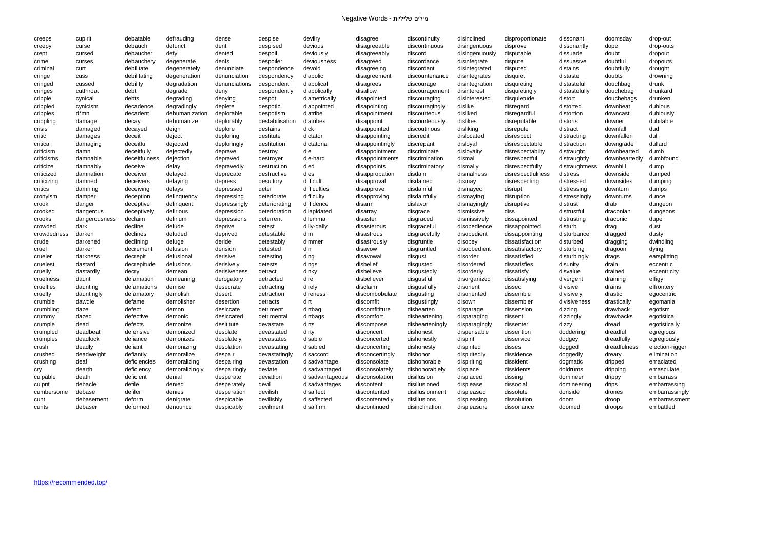| creeps      | cuplrit              | debatable           | defrauding          | dense         | despise                  | devilry            | disagree                   | discontinuity   | disinclined              | disproportionate        | dissonant      | doomsday            | drop-out                  |
|-------------|----------------------|---------------------|---------------------|---------------|--------------------------|--------------------|----------------------------|-----------------|--------------------------|-------------------------|----------------|---------------------|---------------------------|
| creepy      | curse                | debauch             | defunct             | dent          | despised                 | devious            | disagreeable               | discontinuous   | disingenuous             | disprove                | dissonantly    | dope                | drop-outs                 |
| crept       | cursed               | debaucher           | defy                | dented        | despoil                  | deviously          | disagreeably               | discord         | disingenuously           | disputable              | dissuade       | doubt               | dropout                   |
| crime       | curses               | debauchery          | degenerate          | dents         | despoiler                | deviousness        | disagreed                  | discordance     | disintegrate             | dispute                 | dissuasive     | doubtful            | dropouts                  |
| criminal    | curt                 | debilitate          | degenerately        | denunciate    | despondence              | devoid             | disagreeing                | discordant      | disintegrated            | disputed                | distains       | doubtfully          | drought                   |
| cringe      | cuss                 | debilitating        | degeneration        | denunciation  | despondency              | diabolic           | disagreement               | discountenance  | disintegrates            | disquiet                | distaste       | doubts              | drowning                  |
| cringed     | cussed               | debility            | degradation         | denunciations | despondent               | diabolical         | disagrees                  | discourage      | disintegration           | disquieting             | distasteful    | douchbag            | drunk                     |
| cringes     | cutthroat            | debt                | degrade             | deny          | despondently             | diabolically       | disallow                   | discouragement  | disinterest              | disquietingly           | distastefully  | douchebag           | drunkard                  |
| cripple     | cynical              | debts               | degrading           | denying       | despot                   | diametrically      | disapointed                | discouraging    | disinterested            | disquietude             | distort        | douchebags          | drunken                   |
| crippled    | cynicism             | decadence           | degradingly         | deplete       | despotic                 | diappointed        | disapointing               | discouragingly  | dislike                  | disregard               | distorted      | downbeat            | dubious                   |
| cripples    | d*mn                 | decadent            | dehumanization      | deplorable    | despotism                | diatribe           | disapointment              | discourteous    | disliked                 | disregardful            | distortion     | downcast            | dubiously                 |
| crippling   | damage               | decay               | dehumanize          | deplorably    | destabilisation          | diatribes          | disappoint                 | discourteously  | dislikes                 | disreputable            | distorts       | downer              | dubitable                 |
| crisis      | damaged              | decayed             | deign               | deplore       | destains                 | dick               | disappointed               | discoutinous    | disliking                | disrepute               | distract       | downfall            | dud                       |
| critic      | damages              | deceit              | deject              | deploring     | destitute                | dictator           | disappointing              | discredit       | dislocated               | disrespect              | distracting    | downfallen          | dull                      |
| critical    | damaging             | deceitful           | dejected            | deploringly   | destitution              | dictatorial        | disappointingly            | discrepant      | disloyal                 | disrespectable          | distraction    | downgrade           | dullard                   |
| criticism   | damn                 | deceitfully         | dejectedly          | deprave       | destroy                  | die                | disappointment             | discriminate    | disloyalty               | disrespectablity        | distraught     | downhearted         | dumb                      |
| criticisms  | damnable             | deceitfulness       | dejection           | depraved      | destroyer                | die-hard           | disappointments            | discrimination  | dismal                   | disrespectful           | distraughtly   | downheartedly       | dumbfound                 |
| criticize   | damnably             | deceive             | delay               | depravedly    | destruction              | died               | disappoints                | discriminatory  | dismally                 | disrespectfully         | distraughtness | downhill            | dump                      |
| criticized  | damnation            | deceiver            | delayed             | deprecate     | destructive              | dies               | disapprobation             | disdain         | dismalness               | disrespectfulness       | distress       | downside            | dumped                    |
| criticizing | damned               | deceivers           | delaying            | depress       | desultory                | difficult          | disapproval                | disdained       | dismay                   | disrespecting           | distressed     | downsides           | dumping                   |
| critics     | damning              | deceiving           | delays              | depressed     | deter                    | difficulties       | disapprove                 | disdainful      | dismayed                 | disrupt                 | distressing    | downturn            | dumps                     |
| cronyism    | damper               | deception           | delinquency         | depressing    | deteriorate              | difficulty         | disapproving               | disdainfully    | dismaying                | disruption              | distressingly  | downturns           | dunce                     |
| crook       | danger               | deceptive           | delinquent          | depressingly  | deteriorating            | diffidence         | disarm                     | disfavor        | dismayingly              | disruptive              | distrust       | drab                | dungeon                   |
| crooked     | dangerous            | deceptively         | delirious           | depression    | deterioration            | dilapidated        | disarray                   | disgrace        | dismissive               | diss                    | distrustful    | draconian           | dungeons                  |
| crooks      | dangerousness        | declaim             | delirium            | depressions   | deterrent                | dilemma            | disaster                   | disgraced       | dismissively             | dissapointed            | distrusting    | draconic            | dupe                      |
| crowded     | dark                 | decline             | delude              | deprive       | detest                   | dilly-dally        | disasterous                | disgraceful     | disobedience             | dissappointed           | disturb        | drag                | dust                      |
| crowdedness | darken               | declines            | deluded             | deprived      | detestable               | dim                | disastrous                 | disgracefully   | disobedient              | dissappointing          | disturbance    |                     | dusty                     |
| crude       | darkened             | declining           | deluge              | deride        | detestably               | dimmer             | disastrously               | disgruntle      | disobey                  | dissatisfaction         | disturbed      | dragged<br>dragging | dwindling                 |
| cruel       | darker               | decrement           | delusion            | derision      | detested                 | din                | disavow                    | disgruntled     | disoobedient             | dissatisfactory         | disturbing     |                     | dying                     |
| crueler     | darkness             | decrepit            | delusional          | derisive      |                          | ding               | disavowal                  |                 | disorder                 | dissatisfied            | disturbingly   | dragoon             |                           |
| cruelest    | dastard              | decrepitude         | delusions           | derisively    | detesting<br>detests     | dings              | disbelief                  | disgust         | disordered               | dissatisfies            | disunity       | drags<br>drain      | earsplitting<br>eccentric |
| cruelly     | dastardly            |                     | demean              | derisiveness  | detract                  | dinky              | disbelieve                 | disgusted       | disorderly               | dissatisfy              | disvalue       | drained             | eccentricity              |
|             |                      | decry<br>defamation |                     |               |                          |                    |                            | disgustedly     |                          |                         |                |                     |                           |
| cruelness   | daunt                | defamations         | demeaning<br>demise | derogatory    | detracted                | dire               | disbeliever                | disgustful      | disorganized             | dissatisfying           | divergent      | draining            | effigy                    |
| cruelties   | daunting             |                     | demolish            | desecrate     | detracting               | direly<br>direness | disclaim<br>discombobulate | disgustfully    | disorient<br>disoriented | dissed                  | divisive       | drains              | effrontery                |
| cruelty     | dauntingly<br>dawdle | defamatory          | demolisher          | desert        | detraction               | dirt               | discomfit                  | disgusting      |                          | dissemble<br>dissembler | divisively     | drastic             | egocentric                |
| crumble     |                      | defame              |                     | desertion     | detracts                 |                    |                            | disgustingly    | disown                   |                         | divisiveness   | drastically         | egomania                  |
| crumbling   | daze                 | defect              | demon               | desiccate     | detriment<br>detrimental | dirtbag            | discomfititure             | dishearten      | disparage                | dissension              | dizzing        | drawback            | egotism                   |
| crummy      | dazed                | defective           | demonic             | desiccated    |                          | dirtbags           | discomfort                 | disheartening   | disparaging              | dissent                 | dizzingly      | drawbacks           | egotistical               |
| crumple     | dead                 | defects             | demonize            | desititute    | devastate                | dirts              | discompose                 | dishearteningly | disparagingly            | dissenter               | dizzy          | dread               | egotistically             |
| crumpled    | deadbeat             | defensive           | demonized           | desolate      | devastated               | dirty              | disconcert                 | dishonest       | dispensable              | dissention              | doddering      | dreadful            | egregious                 |
| crumples    | deadlock             | defiance            | demonizes           | desolately    | devastates               | disable            | disconcerted               | dishonestly     | dispirit                 | disservice              | dodgey         | dreadfully          | egregiously               |
| crush       | deadly               | defiant             | demonizing          | desolation    | devastating              | disabled           | disconcerting              | dishonesty      | dispirited               | disses                  | dogged         | dreadfulness        | election-rigger           |
| crushed     | deadweight           | defiantly           | demoralize          | despair       | devastatingly            | disaccord          | disconcertingly            | dishonor        | dispiritedly             | dissidence              | doggedly       | dreary              | elimination               |
| crushing    | deaf                 | deficiencies        | demoralizing        | despairing    | devastation              | disadvantage       | disconsolate               | dishonorable    | dispiriting              | dissident               | dogmatic       | dripped             | emaciated                 |
| cry         | dearth               | deficiency          | demoralizingly      | despairingly  | deviate                  | disadvantaged      | disconsolately             | dishonorablely  | displace                 | dissidents              | doldrums       | dripping            | emasculate                |
| culpable    | death                | deficient           | denial              | desperate     | deviation                | disadvantageous    | disconsolation             | disillusion     | displaced                | dissing                 | domineer       | drippy              | embarrass                 |
| culprit     | debacle              | defile              | denied              | desperately   | devil                    | disadvantages      | discontent                 | disillusioned   | displease                | dissocial               | domineering    | drips               | embarrassing              |
| cumbersome  | debase               | defiler             | denies              | desperation   | devilish                 | disaffect          | discontented               | disillusionment | displeased               | dissolute               | donside        | drones              | embarrassingly            |
| cunt        | debasement           | deform              | denigrate           | despicable    | devilishly               | disaffected        | discontentedly             | disillusions    | displeasing              | dissolution             | doom           | droop               | embarrassment             |
| cunts       | debaser              | deformed            | denounce            | despicably    | devilment                | disaffirm          | discontinued               | disinclination  | displeasure              | dissonance              | doomed         | droops              | embattled                 |

|      | doomsday      | drop-out       |
|------|---------------|----------------|
| y    | dope          | drop-outs      |
|      | doubt         | dropout        |
| €    | doubtful      | dropouts       |
|      | doubtfully    | drought        |
|      | doubts        | drowning       |
|      | douchbag      | drunk          |
| ly   | douchebag     | drunkard       |
|      | douchebags    | drunken        |
|      | downbeat      | dubious        |
|      | downcast      | dubiously      |
|      | downer        | dubitable      |
|      | downfall      | dud            |
|      | downfallen    | dull           |
|      | downgrade     | dullard        |
|      | downhearted   | dumb           |
| ly   | downheartedly | dumbfound      |
| ness | downhill      | dump           |
|      | downside      | dumped         |
|      | downsides     | dumping        |
| J    | downturn      | dumps          |
| gly  | downturns     | dunce          |
|      | drab          | dungeon        |
|      | draconian     | dungeons       |
|      | draconic      | dupe           |
|      | drag          | dust           |
| æ    | dragged       | dusty          |
|      | dragging      | dwindling      |
|      | dragoon       | dying          |
| ly   | drags         | earsplitting   |
|      | drain         | eccentric      |
|      | drained       | eccentricity   |
|      | draining      | effigy         |
|      | drains        | effrontery     |
|      | drastic       | egocentric     |
| SS   | drastically   | egomania       |
|      | drawback      | egotism        |
|      | drawbacks     | egotistical    |
|      | dread         | egotistically  |
|      | dreadful      | egregious      |
|      | dreadfully    | egregiously    |
|      | dreadfulness  | election-rigge |
|      | dreary        | elimination    |
|      | dripped       | emaciated      |
|      | dripping      | emasculate     |
|      | drippy        | embarrass      |
| ng   | drips         | embarrassing   |
|      | drones        | embarrassing   |
|      | droop         | embarrassme    |
|      | droops        | embattled      |
|      |               |                |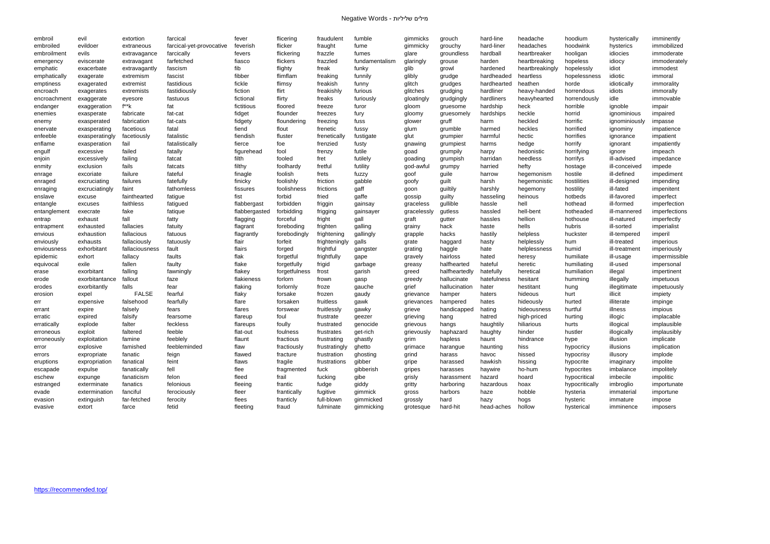| embroil      | evil           | extortion          | farcical                 | fever                | flicering           | fraudulent    | fumble         | gimmicks    | grouch                       | hard-line                | headache        | hoodium        | hysterically  | imminently                   |
|--------------|----------------|--------------------|--------------------------|----------------------|---------------------|---------------|----------------|-------------|------------------------------|--------------------------|-----------------|----------------|---------------|------------------------------|
| embroiled    | evildoer       | extraneous         | farcical-yet-provocative | feverish             | flicker             | fraught       | fume           | gimmicky    | grouchy                      | hard-liner               | headaches       | hoodwink       | hysterics     | immobilized                  |
| embroilment  | evils          | extravagance       | farcically               | fevers               | flickering          | frazzle       | fumes          | glare       | groundless                   | hardball                 | heartbreaker    | hooligan       | idiocies      | immoderate                   |
| emergency    | eviscerate     | extravagant        | farfetched               | fiasco               | flickers            | frazzled      | fundamentalism | glaringly   | grouse                       | harden                   | heartbreaking   | hopeless       | idiocy        | immoderately                 |
| emphatic     | exacerbate     | extravagantly      | fascism                  | fib                  | flighty             | freak         | funky          | glib        | growl                        | hardened                 | heartbreakingly | hopelessly     | idiot         | immodest                     |
| emphatically | exagerate      | extremism          | fascist                  | fibber               | flimflam            | freaking      | funnily        | glibly      | grudge                       | hardheaded               | heartless       | hopelessness   | idiotic       | immoral                      |
| emptiness    | exagerated     | extremist          | fastidious               | fickle               | flimsy              | freakish      | funny          | glitch      | grudges                      | hardhearted              | heathen         | horde          | idiotically   | immorality                   |
| encroach     | exagerates     | extremists         | fastidiously             | fiction              | flirt               | freakishly    | furious        | glitches    | grudging                     | hardliner                | heavy-handed    | horrendous     | idiots        | immorally                    |
| encroachment | exaggerate     | eyesore            | fastuous                 | fictional            | flirty              | freaks        | furiously      | gloatingly  | grudgingly                   | hardliners               | heavyhearted    | horrendously   | idle          | immovable                    |
| endanger     | exaggeration   | f**k               | fat                      | fictitious           | floored             | freeze        | furor          | gloom       | gruesome                     | hardship                 | heck            | horrible       | ignoble       | impair                       |
| enemies      | exasperate     | fabricate          | fat-cat                  | fidget               | flounder            | freezes       | fury           | gloomy      | gruesomely                   | hardships                | heckle          | horrid         | ignominious   | impaired                     |
| enemy        | exasperated    | fabrication        | fat-cats                 | fidgety              | floundering         | freezing      | fuss           | glower      | gruff                        | harm                     | heckled         | horrific       | ignominiously | impasse                      |
| enervate     | exasperating   | facetious          | fatal                    | fiend                | flout               | frenetic      | fussy          | glum        | grumble                      | harmed                   | heckles         | horrified      | ignominy      | impatience                   |
| enfeeble     | exasperatingly | facetiously        | fatalistic               | fiendish             | fluster             | frenetically  | fustigate      | glut        | grumpier                     | harmful                  | hectic          | horrifies      | ignorance     | impatient                    |
| enflame      | exasperation   | fail               | fatalistically           | fierce               | foe                 | frenzied      | fusty          | gnawing     | grumpiest                    | harms                    | hedge           | horrify        | ignorant      | impatiently                  |
| engulf       | excessive      | failed             | fatally                  | figurehead           | fool                | frenzy        | futile         | goad        | grumpily                     | harpy                    | hedonistic      | horrifying     | ignore        | impeach                      |
| enjoin       | excessively    | failing            | fatcat                   | filth                | fooled              | fret          | futilely       | goading     | grumpish                     | harridan                 | heedless        | horrifys       | ill-advised   | impedance                    |
| enmity       | exclusion      | fails              | fatcats                  | filthy               | foolhardy           | fretful       | futility       | god-awful   | grumpy                       | harried                  | hefty           | hostage        | ill-conceived | impede                       |
| enrage       | excoriate      | failure            | fateful                  | finagle              | foolish             | frets         | fuzzy          | goof        | guile                        | harrow                   | hegemonism      | hostile        | ill-defined   | impediment                   |
| enraged      | excruciating   | failures           | fatefully                | finicky              | foolishly           | friction      | gabble         | goofy       | guilt                        | harsh                    | hegemonistic    | hostilities    | ill-designed  | impending                    |
| enraging     | excruciatingly | faint              | fathomless               | fissures             | foolishness         | frictions     | gaff           | goon        | guiltily                     | harshly                  | hegemony        | hostility      | ill-fated     | impenitent                   |
| enslave      | excuse         | fainthearted       | fatigue                  | fist                 | forbid              | fried         | gaffe          | gossip      | guilty                       | hasseling                | heinous         | hotbeds        | ill-favored   | imperfect                    |
| entangle     | excuses        | faithless          | fatigued                 | flabbergast          | forbidden           | friggin       | gainsay        | graceless   | gullible                     | hassle                   | hell            | hothead        | ill-formed    | imperfection                 |
| entanglement | execrate       | fake               | fatique                  | flabbergasted        | forbidding          | frigging      | gainsayer      | gracelessly | gutless                      | hassled                  | hell-bent       | hotheaded      | ill-mannered  | imperfections                |
| entrap       | exhaust        | fall               | fatty                    | flagging             | forceful            | fright        | gall           | graft       | gutter                       | hassles                  | hellion         | hothouse       | ill-natured   | imperfectly                  |
| entrapment   | exhausted      | fallacies          | fatuity                  | flagrant             | foreboding          | frighten      | galling        | grainy      | hack                         | haste                    | hells           | hubris         | ill-sorted    | imperialist                  |
| envious      | exhaustion     | fallacious         | fatuous                  | flagrantly           | forebodingly        | frightening   | gallingly      | grapple     | hacks                        | hastily                  | helpless        | huckster       | ill-tempered  | imperil                      |
| enviously    | exhausts       | fallaciously       | fatuously                | flair                | forfeit             | frighteningly | galls          | grate       |                              | hasty                    | helplessly      | hum            | ill-treated   | imperious                    |
| enviousness  | exhorbitant    | fallaciousness     | fault                    | flairs               |                     | frightful     |                |             | haggard                      | hate                     | helplessness    | humid          | ill-treatment |                              |
| epidemic     | exhort         | fallacy            | faults                   | flak                 | forged<br>forgetful | frightfully   | gangster       | grating     | haggle<br>hairloss           | hated                    |                 | humiliate      | ill-usage     | imperiously<br>impermissible |
|              | exile          | fallen             |                          | flake                |                     |               | gape           | gravely     | halfhearted                  | hateful                  | heresy          |                | ill-used      |                              |
| equivocal    | exorbitant     |                    | faulty                   |                      | forgetfully         | frigid        | garbage        | greasy      |                              |                          | heretic         | humiliating    |               | impersonal                   |
| erase        | exorbitantance | falling<br>fallout | fawningly                | flakey<br>flakieness | forgetfulness       | frost         | garish         | greed       | halfheartedly<br>hallucinate | hatefully<br>hatefulness | heretical       | humiliation    | illegal       | impertinent                  |
| erode        |                | falls              | faze                     |                      | forlorn             | frown         | gasp           | greedy      | hallucination                |                          | hesitant        | humming        | illegally     | impetuous                    |
| erodes       | exorbitantly   |                    | fear                     | flaking              | forlornly           | froze         | gauche         | grief       |                              | hater                    | hestitant       | hung           | illegitimate  | impetuously                  |
| erosion      | expel          | <b>FALSE</b>       | fearful                  | flaky                | forsake             | frozen        | gaudy          | grievance   | hamper                       | haters                   | hideous         | hurt           | illicit       | impiety                      |
| err          | expensive      | falsehood          | fearfully                | flare                | forsaken            | fruitless     | gawk           | grievances  | hampered                     | hates                    | hideously       | hurted         | illiterate    | impinge                      |
| errant       | expire         | falsely            | fears                    | flares               | forswear            | fruitlessly   | gawky          | grieve      | handicapped                  | hating                   | hideousness     | hurtful        | illness       | impious                      |
| erratic      | expired        | falsify            | fearsome                 | flareup              | foul                | frustrate     | geezer         | grieving    | hang                         | hatred                   | high-priced     | hurting        | illogic       | implacable                   |
| erratically  | explode        | falter             | feckless                 | flareups             | foully              | frustrated    | genocide       | grievous    | hangs                        | haughtily                | hiliarious      | hurts          | illogical     | implausible                  |
| erroneous    | exploit        | faltered           | feeble                   | flat-out             | foulness            | frustrates    | get-rich       | grievously  | haphazard                    | haughty                  | hinder          | hustler        | illogically   | implausibly                  |
| erroneously  | exploitation   | famine             | feeblely                 | flaunt               | fractious           | frustrating   | ghastly        | grim        | hapless                      | haunt                    | hindrance       | hype           | illusion      | implicate                    |
| error        | explosive      | famished           | feebleminded             | flaw                 | fractiously         | frustratingly | ghetto         | grimace     | harangue                     | haunting                 | hiss            | hypocricy      | illusions     | implication                  |
| errors       | expropriate    | fanatic            | feign                    | flawed               | fracture            | frustration   | ghosting       | grind       | harass                       | havoc                    | hissed          | hypocrisy      | illusory      | implode                      |
| eruptions    | expropriation  | fanatical          | feint                    | flaws                | fragile             | frustrations  | gibber         | gripe       | harassed                     | hawkish                  | hissing         | hypocrite      | imaginary     | impolite                     |
| escapade     | expulse        | fanatically        | fell                     | flee                 | fragmented          | fuck          | gibberish      | gripes      | harasses                     | haywire                  | ho-hum          | hypocrites     | imbalance     | impolitely                   |
| eschew       | expunge        | fanaticism         | felon                    | fleed                | frail               | fucking       | gibe           | grisly      | harassment                   | hazard                   | hoard           | hypocritical   | imbecile      | impolitic                    |
| estranged    | exterminate    | fanatics           | felonious                | fleeing              | frantic             | fudge         | giddy          | gritty      | harboring                    | hazardous                | hoax            | hypocritically | imbroglio     | importunate                  |
| evade        | extermination  | fanciful           | ferociously              | fleer                | frantically         | fugitive      | gimmick        | gross       | harbors                      | haze                     | hobble          | hysteria       | immaterial    | importune                    |
| evasion      | extinguish     | far-fetched        | ferocity                 | flees                | franticly           | full-blown    | gimmicked      | grossly     | hard                         | hazy                     | hogs            | hysteric       | immature      | impose                       |
| evasive      | extort         | farce              | fetid                    | fleeting             | fraud               | fulminate     | gimmicking     | grotesque   | hard-hit                     | head-aches               | hollow          | hysterical     | imminence     | imposers                     |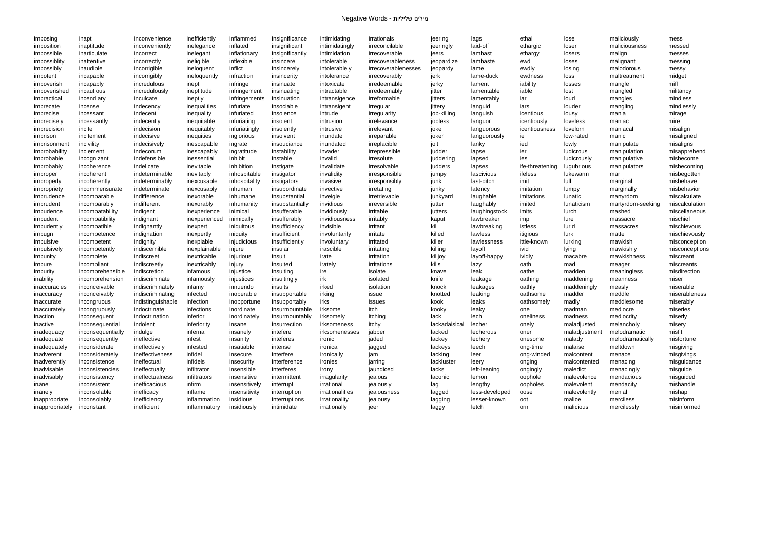imposing inapt - inconvenience inefficiently inflammed insignificance intimidating irrationals - jeering lags - lethal lose - maliciously - mess imposition inaptitude inconveniently inelegance inflated insignificant intimidatingly irreconcilable jeeringly laid-off lethargic loser maliciousness messed impossible inarticulate incorrect inelegant inflationary insignificantly intimidation irrecoverable jeers lambast lethargy losers malign messes impossiblity inattentive incorrectly ineligible inflexible insincere intolerable irrecoverableness jeopardize lambaste lewd loses malignant messing impossibly inaudible incorrigible ineloquent inflict insincerely intolerablely irrecoverablenesses jeopardy lame lewdly losing malodorous messy impotent incapable incorrigibly ineloquently infraction insincerity intolerance irrecoverably jerk lame-duck lewdness loss maltreatment midget impoverish incapably incredulous inept infringe insinuate intoxicate irredeemable jerky lament liability losses mangle miff impoverished incautious incredulously ineptitude infringement insinuating intractable irredeemably jitter lamentable liable lost mangled militancy impractical incendiary inculcate ineptly infringements insinuation intransigence irreformable yitters lamentably liar bud mangles mindless imprecate incense indecency inequalities infuriate insociable intransigent irregular jittery languid liars louder mangling mindlessly imprecise incessant indecent inequality infuriated insolence intrude irregularity job-killing languish licentious lousy mania mirage imprecisely incessantly indecently inequitable infuriating insolent intrusion irrelevance jobless languor licentiously loveless maniac mire imprecision incite - indecision inequitably infuriatingly insolently intrusive irrelevant - joke languorous licentiousness lovelorn maniacal - misalign imprison incitement indecisive inequities inglorious insolvent inundate irreparable joker languorously lie – low-rated manic – misaligned imprisonment incivility - indecisively inescapable ingrate insouciance inundated irreplacible - jolt - lanky - lied - lowly - manipulate - misaligns improbability inclement - indecorum inescapably ingratitude instability invader irrepressible judder lapse - lier - ludicrous manipulation - misapprehend improbable incognizant indefensible inessential inhibit instable invalid irresolute juddering lapsed lies ludicrously manipulative misbecome improbably incoherence indelicate inevitable inhibition instigate invalidate irresolvable judders lapses life-threatening lugubrious manipulators misbecoming improper incoherent indeterminable inevitably inhospitable instigator invalidity irresponsible jumpy lascivious lifeless lukewarm mar misbegotten improperly incoherently indeterminably inexcusable inhospitality instigators invasive irresponsibly junk last-ditch limit hull marginal misbehave impropriety incommensurate indeterminate inexcusably inhuman insubordinate invective irretating which junky latency limitation lumpy marginally misbehavior imprudence incomparable indifference inexorable inhumane insubstantial inveigle irretrievable junkyard laughable limitations lunatic martyrdom miscalculate imprudent incomparably indifferent inexorably inhumanity insubstantially invidious irreversible jutter laughably limited lunaticism martyrdom-seeking miscalculation impudence incompatability indigent inexperience inimical insufferable invidiously irritable jutters laughingstock limits lurch mashed miscellaneous impudent incompatibility indignant inexperienced inimically insufferably invidiousness irritably kaput lawbreaker limp lure massacre mischief impudently incompatible indignantly inexpert iniquitous insufficiency invisible irritant kill lawbreaking listless lurid massacres mischievous impugn incompetence indignation inexpertly iniquity insufficient involuntarily irritate killed lawless litigious lurk matte mischievously impulsive incompetent indignity inexpiable injudicious insufficiently involuntary irritated killer lawlessness little-known lurking mawkish misconception impulsively incompetently indiscernible inexplainable injure insular irascible irritating killing layoff livid lying mawkishly misconceptions impunity incomplete indiscreet inextricable injurious insult irate irritation killjoy layoff-happy lividly macabre mawkishness miscreant impure incompliant indiscreetly inextricably injury insulted irately irritations kills lazy loath mad meager miscreants impurity incomprehensible indiscretion infamous injustice insulting ire isolate knave leak loathe madden meaningless misdirection inability incomprehension indiscriminate infamously injustices insultingly irk isolated knife leakage loathing maddening meanness miser inaccuracies inconceivable indiscriminately infamy innuendo insults irked isolation – knock leakages loathly maddeningly measly miserable inaccuracy inconceivably indiscriminating infected inoperable insupportable irking issue hotted leaking loathsome madder meddle miserableness inaccurate incongruous indistinguishable infection inopportune insupportably irks issues kook leaks loathsomely madly meddlesome miserably inaccurately incongruously indoctrinate infections inordinate insurmountable irksome itch kooky leaky lone madman mediocre miseries inaction inconsequent indoctrination inferior inordinately insurmountably irksomely itching hack lech loneliness madness mediocrity miserly inactive inconsequential indolent inferiority insane insurrection irksomeness itchy lackadaisical lecher lonely maladjusted melancholy misery inadequacy inconsequentially indulge - infernal insanely intefere irksomenesses jabber - lacked lecherous loner - maladjustment melodramatic misfit inadequate inconsequently ineffective infest insanity inteferes ironic jaded hackey lechery lonesome malady melodramatically misfortune inadequately inconsiderate ineffectively infested insatiable intense ironical jagged a lackeys leech long-time malaise meltdown misgiving inadverent inconsiderately ineffectiveness infidel insecure interfere ironically jam lacking leer long-winded malcontent menace misgivings inadverently inconsistence ineffectual infidels insecurity interference ironies jarring and lackluster leery longing malcontented menacing misguidance inadvisable inconsistencies ineffectually infiltrator insensible interferes irony yaundiced and lacks left-leaning longingly maledict menacingly misguide inadvisably inconsistency ineffectualness infiltrators insensitive intermittent irragularity jealous laconic lemon loophole malevolence mendacious misguided inane inconsistent inefficacious infirm insensitively interrupt irrational jealously lag lengthy loopholes malevolent mendacity mishandle inanely inconsolable inefficacy inflame insensitivity interruption irrationalities jealousness lagged less-developed loose malevolently menial mishap inappropriate inconsolably inefficiency inflammation insidious interruptions irrationality jealousy algging lesser-known loot malice merciless misinform inappropriately inconstant a inefficient inflammatory insidiously intimidate irrationally jeer a laggy letch lorn malicious mercilessly misinformed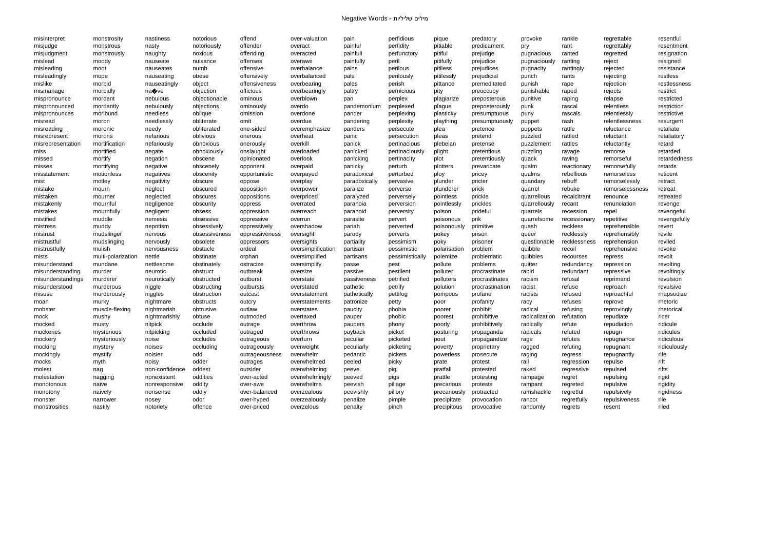| misinterpret      | monstrosity        | nastiness      | notorious     | offend         | over-valuation     | pain          | perfidious      | pique        | predatory       | provoke        | rankle       | regrettable     | resentful    |
|-------------------|--------------------|----------------|---------------|----------------|--------------------|---------------|-----------------|--------------|-----------------|----------------|--------------|-----------------|--------------|
| misjudge          | monstrous          | nasty          | notoriously   | offender       | overact            | painful       | perfidity       | pitiable     | predicament     | pry            | rant         | regrettably     | resentment   |
| misjudgment       | monstrously        | naughty        | noxious       | offending      | overacted          | painfull      | perfunctory     | pitiful      | prejudge        | pugnacious     | ranted       | regretted       | resignation  |
| mislead           | moody              | nauseate       | nuisance      | offenses       | overawe            | painfully     | peril           | pitifully    | prejudice       | pugnaciously   | ranting      | reject          | resigned     |
| misleading        | moot               | nauseates      | numb          | offensive      | overbalance        | pains         | perilous        | pitiless     | prejudices      | pugnacity      | rantingly    | rejected        | resistance   |
| misleadingly      | mope               | nauseating     | obese         | offensively    | overbalanced       | pale          | perilously      | pitilessly   | prejudicial     | punch          | rants        | rejecting       | restless     |
| mislike           | morbid             | nauseatingly   | object        | offensiveness  | overbearing        | pales         | perish          | pittance     | premeditated    | punish         | rape         | rejection       | restlessness |
| mismanage         | morbidly           | na�ve          | objection     | officious      | overbearingly      | paltry        | pernicious      | pity         | preoccupy       | punishable     | raped        | rejects         | restrict     |
| mispronounce      | mordant            | nebulous       | objectionable | ominous        | overblown          | pan           | perplex         | plagiarize   | preposterous    | punitive       | raping       | relapse         | restricted   |
| mispronounced     | mordantly          | nebulously     | objections    | ominously      | overdo             | pandemonium   | perplexed       | plague       | preposterously  | punk           | rascal       | relentless      | restriction  |
| mispronounces     | moribund           | needless       | oblique       | omission       | overdone           | pander        | perplexing      | plasticky    | presumptuous    | puny           | rascals      | relentlessly    | restrictive  |
| misread           | moron              | needlessly     | obliterate    | omit           | overdue            | pandering     | perplexity      | plaything    | presumptuously  | puppet         | rash         | relentlessness  | resurgent    |
| misreading        | moronic            | needy          | obliterated   | one-sided      | overemphasize      | panders       | persecute       | plea         | pretence        | puppets        | rattle       | reluctance      | retaliate    |
| misrepresent      | morons             | nefarious      | oblivious     | onerous        | overheat           | panic         | persecution     | pleas        | pretend         | puzzled        | rattled      | reluctant       | retaliatory  |
| misrepresentation | mortification      | nefariously    | obnoxious     | onerously      | overkill           | panick        | pertinacious    | plebeian     | pretense        | puzzlement     | rattles      | reluctantly     | retard       |
| miss              | mortified          | negate         | obnoxiously   | onslaught      | overloaded         | panicked      | pertinaciously  | plight       | pretentious     | puzzling       | ravage       | remorse         | retarded     |
| missed            | mortify            | negation       | obscene       | opinionated    | overlook           | panicking     | pertinacity     | plot         | pretentiously   | quack          | raving       | remorseful      | retardedness |
| misses            | mortifying         | negative       | obscenely     | opponent       | overpaid           | panicky       | perturb         | plotters     | prevaricate     | qualm          | reactionary  | remorsefully    | retards      |
| misstatement      | motionless         | negatives      | obscenity     | opportunistic  | overpayed          | paradoxical   | perturbed       |              | pricey          | qualms         | rebellious   | remorseless     | reticent     |
|                   |                    |                | obscure       |                |                    | paradoxically | pervasive       | ploy         |                 |                | rebuff       | remorselessly   | retract      |
| mist              | motley             | negativity     |               | oppose         | overplay           |               |                 | plunder      | pricier         | quandary       |              |                 |              |
| mistake           | mourn              | neglect        | obscured      | opposition     | overpower          | paralize      | perverse        | plunderer    | prick           | quarrel        | rebuke       | remorselessness | retreat      |
| mistaken          | mourner            | neglected      | obscures      | oppositions    | overpriced         | paralyzed     | perversely      | pointless    | prickle         | quarrellous    | recalcitrant | renounce        | retreated    |
| mistakenly        | mournful           | negligence     | obscurity     | oppress        | overrated          | paranoia      | perversion      | pointlessly  | prickles        | quarrellously  | recant       | renunciation    | revenge      |
| mistakes          | mournfully         | negligent      | obsess        | oppression     | overreach          | paranoid      | perversity      | poison       | prideful        | quarrels       | recession    | repel           | revengeful   |
| mistified         | muddle             | nemesis        | obsessive     | oppressive     | overrun            | parasite      | pervert         | poisonous    | prik            | quarrelsome    | recessionary | repetitive      | revengefully |
| mistress          | muddy              | nepotism       | obsessively   | oppressively   | overshadow         | pariah        | perverted       | poisonously  | primitive       | quash          | reckless     | reprehensible   | revert       |
| mistrust          | mudslinger         | nervous        | obsessiveness | oppressiveness | oversight          | parody        | perverts        | pokey        | prison          | queer          | recklessly   | reprehensibly   | revile       |
| mistrustful       | mudslinging        | nervously      | obsolete      | oppressors     | oversights         | partiality    | pessimism       | poky         | prisoner        | questionable   | recklessness | reprehension    | reviled      |
| mistrustfully     | mulish             | nervousness    | obstacle      | ordeal         | oversimplification | partisan      | pessimistic     | polarisation | problem         | quibble        | recoil       | reprehensive    | revoke       |
| mists             | multi-polarization | nettle         | obstinate     | orphan         | oversimplified     | partisans     | pessimistically | polemize     | problematic     | quibbles       | recourses    | repress         | revolt       |
| misunderstand     | mundane            | nettlesome     | obstinately   | ostracize      | oversimplify       | passe         | pest            | pollute      | problems        | quitter        | redundancy   | repression      | revolting    |
| misunderstanding  | murder             | neurotic       | obstruct      | outbreak       | oversize           | passive       | pestilent       | polluter     | procrastinate   | rabid          | redundant    | repressive      | revoltingly  |
| misunderstandings | murderer           | neurotically   | obstructed    | outburst       | overstate          | passiveness   | petrified       | polluters    | procrastinates  | racism         | refusal      | reprimand       | revulsion    |
| misunderstood     | murderous          | niggle         | obstructing   | outbursts      | overstated         | pathetic      | petrify         | polution     | procrastination | racist         | refuse       | reproach        | revulsive    |
| misuse            | murderously        | niggles        | obstruction   | outcast        | overstatement      | pathetically  | pettifog        | pompous      | profane         | racists        | refused      | reproachful     | rhapsodize   |
| moan              | murky              | nightmare      | obstructs     | outcry         | overstatements     | patronize     | petty           | poor         | profanity       | racy           | refuses      | reprove         | rhetoric     |
| mobster           | muscle-flexing     | nightmarish    | obtrusive     | outlaw         | overstates         | paucity       | phobia          | poorer       | prohibit        | radical        | refusing     | reprovingly     | rhetorical   |
| mock              | mushy              | nightmarishly  | obtuse        | outmoded       | overtaxed          | pauper        | phobic          | poorest      | prohibitive     | radicalization | refutation   | repudiate       | ricer        |
| mocked            | musty              | nitpick        | occlude       | outrage        | overthrow          | paupers       | phony           | poorly       | prohibitively   | radically      | refute       | repudiation     | ridicule     |
| mockeries         | mysterious         | nitpicking     | occluded      | outraged       | overthrows         | payback       | picket          | posturing    | propaganda      | radicals       | refuted      | repugn          | ridicules    |
| mockery           | mysteriously       | noise          | occludes      | outrageous     | overturn           | peculiar      | picketed        | pout         | propagandize    | rage           | refutes      | repugnance      | ridiculous   |
| mocking           | mystery            | noises         | occluding     | outrageously   | overweight         | peculiarly    | picketing       | poverty      | proprietary     | ragged         | refuting     | repugnant       | ridiculously |
| mockingly         | mystify            | noisier        | odd           | outrageousness | overwhelm          | pedantic      | pickets         | powerless    | prosecute       | raging         | regress      | repugnantly     | rife         |
| mocks             | myth               | noisy          | odder         | outrages       | overwhelmed        | peeled        | picky           | prate        | protest         | rail           | regression   | repulse         | rift         |
| molest            | nag                | non-confidence | oddest        | outsider       | overwhelming       | peeve         | pig             | pratfall     | protested       | raked          | regressive   | repulsed        | rifts        |
| molestation       | nagging            | nonexistent    | oddities      | over-acted     | overwhelmingly     | peeved        | pigs            | prattle      | protesting      | rampage        | regret       | repulsing       | rigid        |
| monotonous        | naive              | nonresponsive  | oddity        | over-awe       | overwhelms         | peevish       | pillage         | precarious   | protests        | rampant        | regreted     | repulsive       | rigidity     |
| monotony          | naively            | nonsense       | oddly         | over-balanced  | overzealous        | peevishly     | pillory         | precariously | protracted      | ramshackle     | regretful    | repulsively     | rigidness    |
| monster           | narrower           | nosey          | odor          | over-hyped     | overzealously      | penalize      | pimple          | precipitate  | provocation     | rancor         | regretfully  | repulsiveness   | rile         |
| monstrosities     | nastily            | notoriety      | offence       | over-priced    | overzelous         | penalty       | pinch           | precipitous  | provocative     | randomly       | regrets      | resent          | riled        |
|                   |                    |                |               |                |                    |               |                 |              |                 |                |              |                 |              |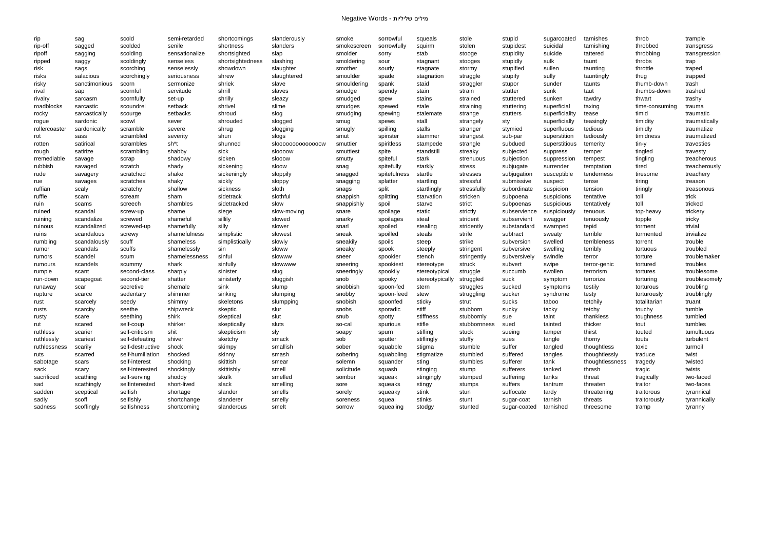| rip           | sag                       | scold            | semi-retarded  | shortcomings     | slanderously       | smoke       | sorrowful    | squeals         | stole             | stupid                 | sugarcoated    | tarnishes       | throb          | trample       |
|---------------|---------------------------|------------------|----------------|------------------|--------------------|-------------|--------------|-----------------|-------------------|------------------------|----------------|-----------------|----------------|---------------|
| rip-off       | sagged                    | scolded          | senile         | shortness        | slanders           | smokescreen | sorrowfully  | squirm          | stolen            | stupidest              | suicidal       | tarnishing      | throbbed       | transgress    |
| ripoff        | sagging                   | scolding         | sensationalize | shortsighted     | slap               | smolder     | sorry        | stab            | stooge            | stupidity              | suicide        | tattered        | throbbing      | transgression |
| ripped        | saggy                     | scoldingly       | senseless      | shortsightedness | slashing           | smoldering  | sour         | stagnant        | stooges           | stupidly               | sulk           | taunt           | throbs         | trap          |
| risk          | sags                      | scorching        | senselessly    | showdown         | slaughter          | smother     | sourly       | stagnate        | stormy            | stupified              | sullen         | taunting        | throttle       | traped        |
| risks         | salacious                 | scorchingly      | seriousness    | shrew            | slaughtered        | smoulder    | spade        | stagnation      | straggle          | stupify                | sully          | tauntingly      | thug           | trapped       |
| risky         | sanctimonious             | scorn            | sermonize      | shriek           | slave              | smouldering | spank        | staid           | straggler         | stupor                 | sunder         | taunts          | thumb-down     | trash         |
| rival         | sap                       | scornful         | servitude      | shrill           | slaves             | smudge      | spendy       | stain           | strain            | stutter                | sunk           | taut            | thumbs-down    | trashed       |
| rivalry       | sarcasm                   | scornfully       | set-up         | shrilly          | sleazy             | smudged     | spew         | stains          | strained          | stuttered              | sunken         | tawdry          | thwart         | trashy        |
| roadblocks    | sarcastic                 | scoundrel        | setback        | shrivel          | slime              | smudges     | spewed       | stale           | straining         | stuttering             | superficial    | taxing          | time-consuming | trauma        |
| rocky         | sarcastically             | scourge          | setbacks       | shroud           | slog               | smudging    | spewing      | stalemate       | strange           | stutters               | superficiality | tease           | timid          | traumatic     |
| rogue         | sardonic                  | scowl            | sever          | shrouded         | slogged            | smug        | spews        | stall           | strangely         | sty                    | superficially  | teasingly       | timidity       | traumatically |
| rollercoaster | sardonically              | scramble         | severe         | shrug            | slogging           | smugly      | spilling     | stalls          | stranger          | stymied                | superfluous    | tedious         | timidly        | traumatize    |
| rot           | sass                      | scrambled        | severity       | shun             | slogs              | smut        | spinster     | stammer         | strangest         | sub-par                | superstition   | tediously       | timidness      | traumatized   |
| rotten        | satirical                 | scrambles        | sh*t           | shunned          | \$l000000000000000 | smuttier    | spiritless   | stampede        | strangle          | subdued                | superstitious  | temerity        | tin-y          | travesties    |
| rough         | satirize                  | scrambling       | shabby         | sick             | sloooow            | smuttiest   | spite        | standstill      | streaky           | subjected              | suppress       | temper          | tingled        | travesty      |
| rremediable   | savage                    | scrap            | shadowy        | sicken           | slooow             | smutty      | spiteful     | stark           | strenuous         | subjection             | suppression    | tempest         | tingling       | treacherous   |
| rubbish       | savaged                   | scratch          | shady          | sickening        | sloow              | snag        | spitefully   | starkly         | stress            | subjugate              | surrender      | temptation      | tired          | treacherously |
| rude          | savagery                  | scratched        | shake          | sickeningly      | sloppily           | snagged     | spitefulness | startle         | stresses          | subjugation            | susceptible    | tenderness      | tiresome       | treachery     |
| rue           | savages                   | scratches        | shaky          | sickly           | sloppy             | snagging    | splatter     | startling       | stressful         | submissive             | suspect        | tense           | tiring         | treason       |
| ruffian       | scaly                     | scratchy         | shallow        | sickness         | sloth              | snags       | split        | startlingly     | stressfully       | subordinate            | suspicion      | tension         | tiringly       | treasonous    |
| ruffle        | scam                      | scream           | sham           | sidetrack        | slothful           | snappish    | splitting    | starvation      | stricken          | subpoena               | suspicions     | tentative       | toil           | trick         |
|               |                           |                  | shambles       | sidetracked      | slow               |             |              |                 | strict            |                        |                | tentatively     | toll           | tricked       |
| ruin          | scams                     | screech          |                |                  |                    | snappishly  | spoil        | starve          |                   | subpoenas              | suspicious     |                 |                |               |
| ruined        | scandal                   | screw-up         | shame          | siege            | slow-moving        | snare       | spoilage     | static          | strictly          | subservience           | suspiciously   | tenuous         | top-heavy      | trickery      |
| ruining       | scandalize<br>scandalized | screwed          | shameful       | sillily          | slowed             | snarky      | spoilages    | steal           | strident          | subservient            | swagger        | tenuously       | topple         | tricky        |
| ruinous       |                           | screwed-up       | shamefully     | silly            | slower             | snarl       | spoiled      | stealing        | stridently        | substandard            | swamped        | tepid           | torment        | trivial       |
| ruins         | scandalous                | screwy           | shamefulness   | simplistic       | slowest            | sneak       | spoilled     | steals          | strife            | subtract               | sweaty         | terrible        | tormented      | trivialize    |
| rumbling      | scandalously              | scuff            | shameless      | simplistically   | slowly             | sneakily    | spoils       | steep           | strike            | subversion             | swelled        | terribleness    | torrent        | trouble       |
| rumor         | scandals                  | scuffs           | shamelessly    | sin              | sloww              | sneaky      | spook        | steeply         | stringent         | subversive             | swelling       | terribly        | tortuous       | troubled      |
| rumors        | scandel                   | scum             | shamelessness  | sinful           | slowww             | sneer       | spookier     | stench          | stringently       | subversively           | swindle        | terror          | torture        | troublemaker  |
| rumours       | scandels                  | scummy           | shark          | sinfully         | slowwww            | sneering    | spookiest    | stereotype      | struck            | subvert                | swipe          | terror-genic    | tortured       | troubles      |
| rumple        | scant                     | second-class     | sharply        | sinister         | slug               | sneeringly  | spookily     | stereotypical   | struggle          | succumb                | swollen        | terrorism       | tortures       | troublesome   |
| run-down      | scapegoat                 | second-tier      | shatter        | sinisterly       | sluggish           | snob        | spooky       | stereotypically | struggled         | suck                   | symptom        | terrorize       | torturing      | troublesomely |
| runaway       | scar                      | secretive        | shemale        | sink             | slump              | snobbish    | spoon-fed    | stern           | struggles         | sucked                 | symptoms       | testily         | torturous      | troubling     |
| rupture       | scarce                    | sedentary        | shimmer        | sinking          | slumping           | snobby      | spoon-feed   | stew            | struggling        | sucker                 | syndrome       | testy           | torturously    | troublingly   |
| rust          | scarcely                  | seedy            | shimmy         | skeletons        | slumpping          | snobish     | spoonfed     | sticky          | strut             | sucks                  | taboo          | tetchily        | totalitarian   | truant        |
| rusts         | scarcity                  | seethe           | shipwreck      | skeptic          | slur               | snobs       | sporadic     | stiff           | stubborn          | sucky                  | tacky          | tetchy          | touchy         | tumble        |
| rusty         | scare                     | seething         | shirk          | skeptical        | slut               | snub        | spotty       | stiffness       | stubbornly        | sue                    | taint          | thankless       | toughness      | tumbled       |
| rut           | scared                    | self-coup        | shirker        | skeptically      | sluts              | so-cal      | spurious     | stifle          | stubbornness sued |                        | tainted        | thicker         | tout           | tumbles       |
| ruthless      | scarier                   | self-criticism   | shit           | skepticism       | sly                | soapy       | spurn        | stifling        | stuck             | sueing                 | tamper         | thirst          | touted         | tumultuous    |
| ruthlessly    | scariest                  | self-defeating   | shiver         | sketchy          | smack              | sob         | sputter      | stiflingly      | stuffy            | sues                   | tangle         | thorny          | touts          | turbulent     |
| ruthlessness  | scarily                   | self-destructive | shock          | skimpy           | smallish           | sober       | squabble     | stigma          | stumble           | suffer                 | tangled        | thoughtless     | toxic          | turmoil       |
| ruts          | scarred                   | self-humiliation | shocked        | skinny           | smash              | sobering    | squabbling   | stigmatize      | stumbled          | suffered               | tangles        | thoughtlessly   | traduce        | twist         |
| sabotage      | scars                     | self-interest    | shocking       | skittish         | smear              | solemn      | squander     | sting           | stumbles          | sufferer               | tank           | thoughtlessness | tragedy        | twisted       |
| sack          | scary                     | self-interested  | shockingly     | skittishly       | smell              | solicitude  | squash       | stinging        | stump             | sufferers              | tanked         | thrash          | tragic         | twists        |
| sacrificed    | scathing                  | self-serving     | shoddy         | skulk            | smelled            | somber      | squeak       | stingingly      | stumped           | suffering              | tanks          | threat          | tragically     | two-faced     |
| sad           | scathingly                | selfinterested   | short-lived    | slack            | smelling           | sore        | squeaks      | stingy          | stumps            | suffers                | tantrum        | threaten        | traitor        | two-faces     |
| sadden        | sceptical                 | selfish          | shortage       | slander          | smells             | sorely      | squeaky      | stink           | stun              | suffocate              | tardy          | threatening     | traitorous     | tyrannical    |
| sadly         | scoff                     | selfishly        | shortchange    | slanderer        | smelly             | soreness    | squeal       | stinks          | stunt             | sugar-coat             | tarnish        | threats         | traitorously   | tyrannically  |
| sadness       | scoffingly                | selfishness      | shortcoming    | slanderous       | smelt              | sorrow      | squealing    | stodgy          | stunted           | sugar-coated tarnished |                | threesome       | tramp          | tyranny       |